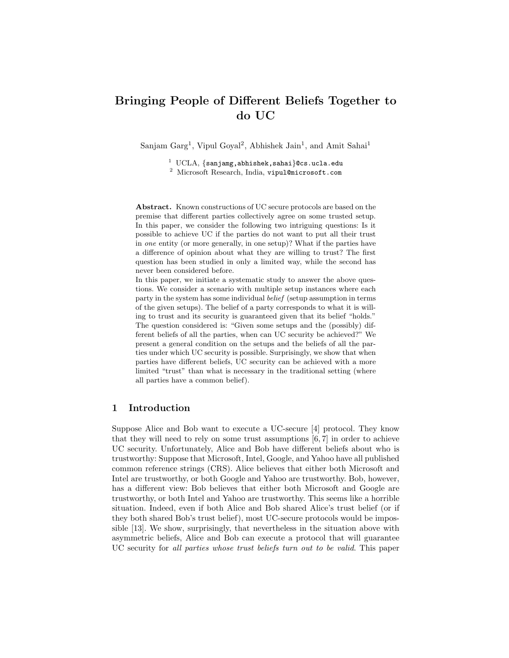# Bringing People of Different Beliefs Together to do UC

Sanjam Garg<sup>1</sup>, Vipul Goyal<sup>2</sup>, Abhishek Jain<sup>1</sup>, and Amit Sahai<sup>1</sup>

 $1 \text{ UCLA}, \{ \text{sanjang}, \text{abhisk, sahai} \}$ @cs.ucla.edu <sup>2</sup> Microsoft Research, India, vipul@microsoft.com

Abstract. Known constructions of UC secure protocols are based on the premise that different parties collectively agree on some trusted setup. In this paper, we consider the following two intriguing questions: Is it possible to achieve UC if the parties do not want to put all their trust in one entity (or more generally, in one setup)? What if the parties have a difference of opinion about what they are willing to trust? The first question has been studied in only a limited way, while the second has never been considered before.

In this paper, we initiate a systematic study to answer the above questions. We consider a scenario with multiple setup instances where each party in the system has some individual belief (setup assumption in terms of the given setups). The belief of a party corresponds to what it is willing to trust and its security is guaranteed given that its belief "holds." The question considered is: "Given some setups and the (possibly) different beliefs of all the parties, when can UC security be achieved?" We present a general condition on the setups and the beliefs of all the parties under which UC security is possible. Surprisingly, we show that when parties have different beliefs, UC security can be achieved with a more limited "trust" than what is necessary in the traditional setting (where all parties have a common belief).

### 1 Introduction

Suppose Alice and Bob want to execute a UC-secure [4] protocol. They know that they will need to rely on some trust assumptions  $[6, 7]$  in order to achieve UC security. Unfortunately, Alice and Bob have different beliefs about who is trustworthy: Suppose that Microsoft, Intel, Google, and Yahoo have all published common reference strings (CRS). Alice believes that either both Microsoft and Intel are trustworthy, or both Google and Yahoo are trustworthy. Bob, however, has a different view: Bob believes that either both Microsoft and Google are trustworthy, or both Intel and Yahoo are trustworthy. This seems like a horrible situation. Indeed, even if both Alice and Bob shared Alice's trust belief (or if they both shared Bob's trust belief), most UC-secure protocols would be impossible [13]. We show, surprisingly, that nevertheless in the situation above with asymmetric beliefs, Alice and Bob can execute a protocol that will guarantee UC security for all parties whose trust beliefs turn out to be valid. This paper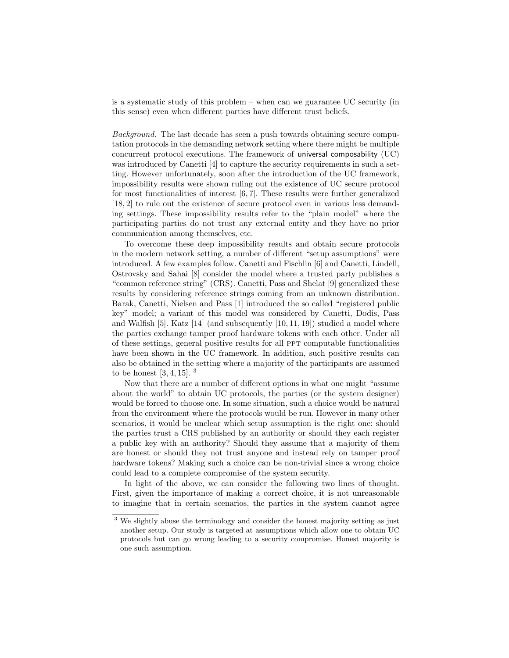is a systematic study of this problem – when can we guarantee UC security (in this sense) even when different parties have different trust beliefs.

Background. The last decade has seen a push towards obtaining secure computation protocols in the demanding network setting where there might be multiple concurrent protocol executions. The framework of universal composability (UC) was introduced by Canetti [4] to capture the security requirements in such a setting. However unfortunately, soon after the introduction of the UC framework, impossibility results were shown ruling out the existence of UC secure protocol for most functionalities of interest [6, 7]. These results were further generalized [18, 2] to rule out the existence of secure protocol even in various less demanding settings. These impossibility results refer to the "plain model" where the participating parties do not trust any external entity and they have no prior communication among themselves, etc.

To overcome these deep impossibility results and obtain secure protocols in the modern network setting, a number of different "setup assumptions" were introduced. A few examples follow. Canetti and Fischlin [6] and Canetti, Lindell, Ostrovsky and Sahai [8] consider the model where a trusted party publishes a "common reference string" (CRS). Canetti, Pass and Shelat [9] generalized these results by considering reference strings coming from an unknown distribution. Barak, Canetti, Nielsen and Pass [1] introduced the so called "registered public key" model; a variant of this model was considered by Canetti, Dodis, Pass and Walfish [5]. Katz [14] (and subsequently [10, 11, 19]) studied a model where the parties exchange tamper proof hardware tokens with each other. Under all of these settings, general positive results for all ppt computable functionalities have been shown in the UC framework. In addition, such positive results can also be obtained in the setting where a majority of the participants are assumed to be honest  $[3, 4, 15]$ . <sup>3</sup>

Now that there are a number of different options in what one might "assume about the world" to obtain UC protocols, the parties (or the system designer) would be forced to choose one. In some situation, such a choice would be natural from the environment where the protocols would be run. However in many other scenarios, it would be unclear which setup assumption is the right one: should the parties trust a CRS published by an authority or should they each register a public key with an authority? Should they assume that a majority of them are honest or should they not trust anyone and instead rely on tamper proof hardware tokens? Making such a choice can be non-trivial since a wrong choice could lead to a complete compromise of the system security.

In light of the above, we can consider the following two lines of thought. First, given the importance of making a correct choice, it is not unreasonable to imagine that in certain scenarios, the parties in the system cannot agree

<sup>&</sup>lt;sup>3</sup> We slightly abuse the terminology and consider the honest majority setting as just another setup. Our study is targeted at assumptions which allow one to obtain UC protocols but can go wrong leading to a security compromise. Honest majority is one such assumption.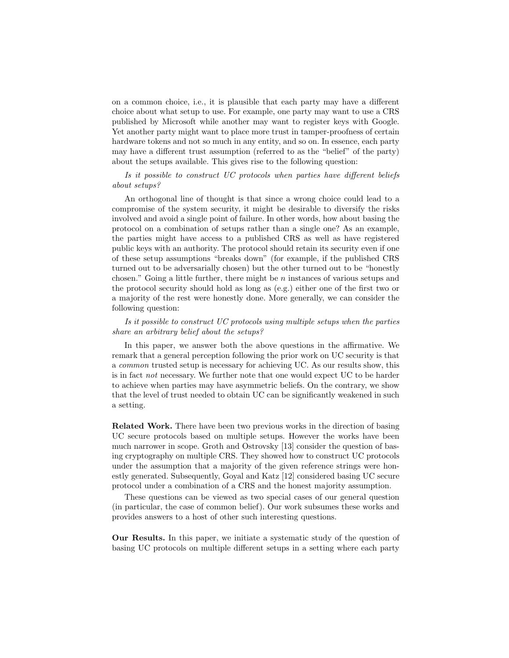on a common choice, i.e., it is plausible that each party may have a different choice about what setup to use. For example, one party may want to use a CRS published by Microsoft while another may want to register keys with Google. Yet another party might want to place more trust in tamper-proofness of certain hardware tokens and not so much in any entity, and so on. In essence, each party may have a different trust assumption (referred to as the "belief" of the party) about the setups available. This gives rise to the following question:

Is it possible to construct UC protocols when parties have different beliefs about setups?

An orthogonal line of thought is that since a wrong choice could lead to a compromise of the system security, it might be desirable to diversify the risks involved and avoid a single point of failure. In other words, how about basing the protocol on a combination of setups rather than a single one? As an example, the parties might have access to a published CRS as well as have registered public keys with an authority. The protocol should retain its security even if one of these setup assumptions "breaks down" (for example, if the published CRS turned out to be adversarially chosen) but the other turned out to be "honestly chosen." Going a little further, there might be  $n$  instances of various setups and the protocol security should hold as long as (e.g.) either one of the first two or a majority of the rest were honestly done. More generally, we can consider the following question:

Is it possible to construct UC protocols using multiple setups when the parties share an arbitrary belief about the setups?

In this paper, we answer both the above questions in the affirmative. We remark that a general perception following the prior work on UC security is that a common trusted setup is necessary for achieving UC. As our results show, this is in fact not necessary. We further note that one would expect UC to be harder to achieve when parties may have asymmetric beliefs. On the contrary, we show that the level of trust needed to obtain UC can be significantly weakened in such a setting.

Related Work. There have been two previous works in the direction of basing UC secure protocols based on multiple setups. However the works have been much narrower in scope. Groth and Ostrovsky [13] consider the question of basing cryptography on multiple CRS. They showed how to construct UC protocols under the assumption that a majority of the given reference strings were honestly generated. Subsequently, Goyal and Katz [12] considered basing UC secure protocol under a combination of a CRS and the honest majority assumption.

These questions can be viewed as two special cases of our general question (in particular, the case of common belief). Our work subsumes these works and provides answers to a host of other such interesting questions.

Our Results. In this paper, we initiate a systematic study of the question of basing UC protocols on multiple different setups in a setting where each party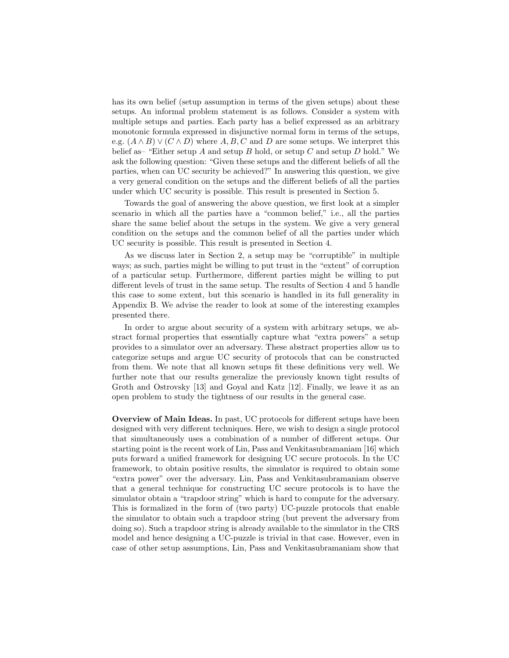has its own belief (setup assumption in terms of the given setups) about these setups. An informal problem statement is as follows. Consider a system with multiple setups and parties. Each party has a belief expressed as an arbitrary monotonic formula expressed in disjunctive normal form in terms of the setups, e.g.  $(A \wedge B) \vee (C \wedge D)$  where  $A, B, C$  and D are some setups. We interpret this belief as– "Either setup A and setup B hold, or setup C and setup D hold." We ask the following question: "Given these setups and the different beliefs of all the parties, when can UC security be achieved?" In answering this question, we give a very general condition on the setups and the different beliefs of all the parties under which UC security is possible. This result is presented in Section 5.

Towards the goal of answering the above question, we first look at a simpler scenario in which all the parties have a "common belief," i.e., all the parties share the same belief about the setups in the system. We give a very general condition on the setups and the common belief of all the parties under which UC security is possible. This result is presented in Section 4.

As we discuss later in Section 2, a setup may be "corruptible" in multiple ways; as such, parties might be willing to put trust in the "extent" of corruption of a particular setup. Furthermore, different parties might be willing to put different levels of trust in the same setup. The results of Section 4 and 5 handle this case to some extent, but this scenario is handled in its full generality in Appendix B. We advise the reader to look at some of the interesting examples presented there.

In order to argue about security of a system with arbitrary setups, we abstract formal properties that essentially capture what "extra powers" a setup provides to a simulator over an adversary. These abstract properties allow us to categorize setups and argue UC security of protocols that can be constructed from them. We note that all known setups fit these definitions very well. We further note that our results generalize the previously known tight results of Groth and Ostrovsky [13] and Goyal and Katz [12]. Finally, we leave it as an open problem to study the tightness of our results in the general case.

Overview of Main Ideas. In past, UC protocols for different setups have been designed with very different techniques. Here, we wish to design a single protocol that simultaneously uses a combination of a number of different setups. Our starting point is the recent work of Lin, Pass and Venkitasubramaniam [16] which puts forward a unified framework for designing UC secure protocols. In the UC framework, to obtain positive results, the simulator is required to obtain some "extra power" over the adversary. Lin, Pass and Venkitasubramaniam observe that a general technique for constructing UC secure protocols is to have the simulator obtain a "trapdoor string" which is hard to compute for the adversary. This is formalized in the form of (two party) UC-puzzle protocols that enable the simulator to obtain such a trapdoor string (but prevent the adversary from doing so). Such a trapdoor string is already available to the simulator in the CRS model and hence designing a UC-puzzle is trivial in that case. However, even in case of other setup assumptions, Lin, Pass and Venkitasubramaniam show that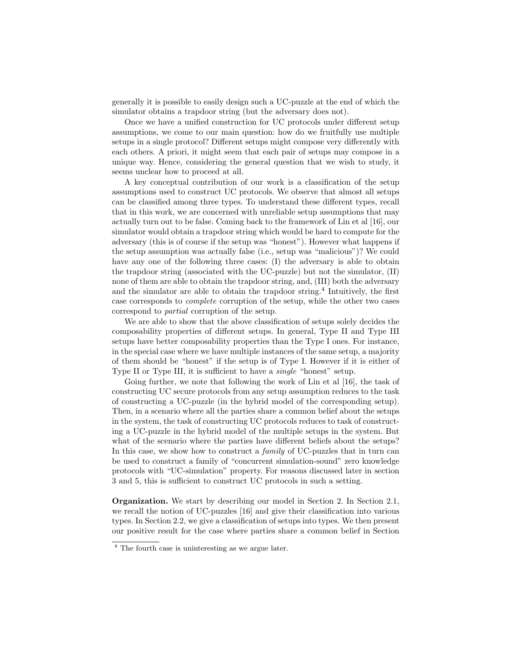generally it is possible to easily design such a UC-puzzle at the end of which the simulator obtains a trapdoor string (but the adversary does not).

Once we have a unified construction for UC protocols under different setup assumptions, we come to our main question: how do we fruitfully use multiple setups in a single protocol? Different setups might compose very differently with each others. A priori, it might seem that each pair of setups may compose in a unique way. Hence, considering the general question that we wish to study, it seems unclear how to proceed at all.

A key conceptual contribution of our work is a classification of the setup assumptions used to construct UC protocols. We observe that almost all setups can be classified among three types. To understand these different types, recall that in this work, we are concerned with unreliable setup assumptions that may actually turn out to be false. Coming back to the framework of Lin et al [16], our simulator would obtain a trapdoor string which would be hard to compute for the adversary (this is of course if the setup was "honest"). However what happens if the setup assumption was actually false (i.e., setup was "malicious")? We could have any one of the following three cases: (I) the adversary is able to obtain the trapdoor string (associated with the UC-puzzle) but not the simulator, (II) none of them are able to obtain the trapdoor string, and, (III) both the adversary and the simulator are able to obtain the trapdoor string.<sup>4</sup> Intuitively, the first case corresponds to complete corruption of the setup, while the other two cases correspond to partial corruption of the setup.

We are able to show that the above classification of setups solely decides the composability properties of different setups. In general, Type II and Type III setups have better composability properties than the Type I ones. For instance, in the special case where we have multiple instances of the same setup, a majority of them should be "honest" if the setup is of Type I. However if it is either of Type II or Type III, it is sufficient to have a *single* "honest" setup.

Going further, we note that following the work of Lin et al [16], the task of constructing UC secure protocols from any setup assumption reduces to the task of constructing a UC-puzzle (in the hybrid model of the corresponding setup). Then, in a scenario where all the parties share a common belief about the setups in the system, the task of constructing UC protocols reduces to task of constructing a UC-puzzle in the hybrid model of the multiple setups in the system. But what of the scenario where the parties have different beliefs about the setups? In this case, we show how to construct a *family* of UC-puzzles that in turn can be used to construct a family of "concurrent simulation-sound" zero knowledge protocols with "UC-simulation" property. For reasons discussed later in section 3 and 5, this is sufficient to construct UC protocols in such a setting.

Organization. We start by describing our model in Section 2. In Section 2.1, we recall the notion of UC-puzzles [16] and give their classification into various types. In Section 2.2, we give a classification of setups into types. We then present our positive result for the case where parties share a common belief in Section

<sup>4</sup> The fourth case is uninteresting as we argue later.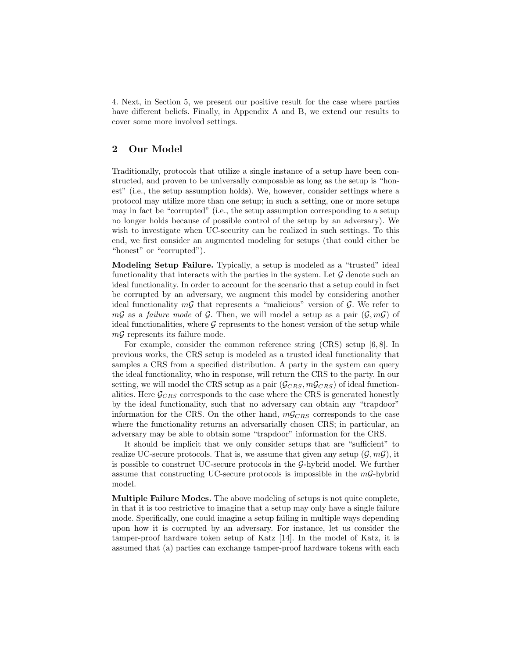4. Next, in Section 5, we present our positive result for the case where parties have different beliefs. Finally, in Appendix A and B, we extend our results to cover some more involved settings.

# 2 Our Model

Traditionally, protocols that utilize a single instance of a setup have been constructed, and proven to be universally composable as long as the setup is "honest" (i.e., the setup assumption holds). We, however, consider settings where a protocol may utilize more than one setup; in such a setting, one or more setups may in fact be "corrupted" (i.e., the setup assumption corresponding to a setup no longer holds because of possible control of the setup by an adversary). We wish to investigate when UC-security can be realized in such settings. To this end, we first consider an augmented modeling for setups (that could either be "honest" or "corrupted").

Modeling Setup Failure. Typically, a setup is modeled as a "trusted" ideal functionality that interacts with the parties in the system. Let  $\mathcal G$  denote such an ideal functionality. In order to account for the scenario that a setup could in fact be corrupted by an adversary, we augment this model by considering another ideal functionality  $m\mathcal{G}$  that represents a "malicious" version of  $\mathcal{G}$ . We refer to  $m\mathcal{G}$  as a *failure mode* of  $\mathcal{G}$ . Then, we will model a setup as a pair  $(\mathcal{G}, m\mathcal{G})$  of ideal functionalities, where  $G$  represents to the honest version of the setup while  $m\mathcal{G}$  represents its failure mode.

For example, consider the common reference string (CRS) setup [6, 8]. In previous works, the CRS setup is modeled as a trusted ideal functionality that samples a CRS from a specified distribution. A party in the system can query the ideal functionality, who in response, will return the CRS to the party. In our setting, we will model the CRS setup as a pair  $(\mathcal{G}_{CRS}, m\mathcal{G}_{CRS})$  of ideal functionalities. Here  $\mathcal{G}_{CRS}$  corresponds to the case where the CRS is generated honestly by the ideal functionality, such that no adversary can obtain any "trapdoor" information for the CRS. On the other hand,  $m\mathcal{G}_{CRS}$  corresponds to the case where the functionality returns an adversarially chosen CRS; in particular, an adversary may be able to obtain some "trapdoor" information for the CRS.

It should be implicit that we only consider setups that are "sufficient" to realize UC-secure protocols. That is, we assume that given any setup  $(G, mG)$ , it is possible to construct UC-secure protocols in the  $\mathcal{G}$ -hybrid model. We further assume that constructing UC-secure protocols is impossible in the  $mg$ -hybrid model.

Multiple Failure Modes. The above modeling of setups is not quite complete, in that it is too restrictive to imagine that a setup may only have a single failure mode. Specifically, one could imagine a setup failing in multiple ways depending upon how it is corrupted by an adversary. For instance, let us consider the tamper-proof hardware token setup of Katz [14]. In the model of Katz, it is assumed that (a) parties can exchange tamper-proof hardware tokens with each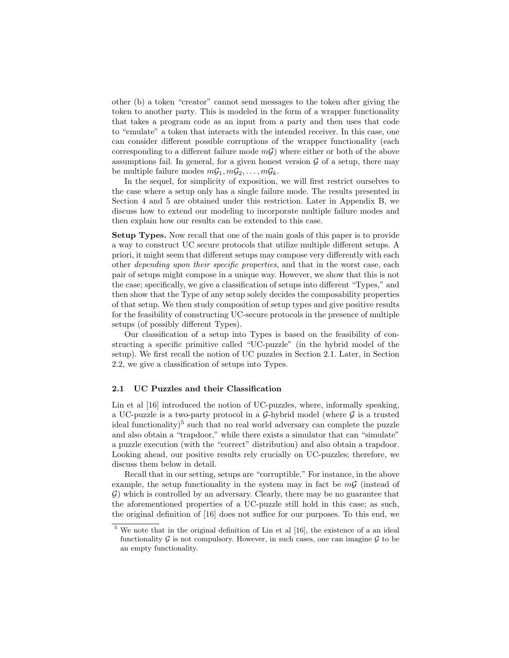other (b) a token "creator" cannot send messages to the token after giving the token to another party. This is modeled in the form of a wrapper functionality that takes a program code as an input from a party and then uses that code to "emulate" a token that interacts with the intended receiver. In this case, one can consider different possible corruptions of the wrapper functionality (each corresponding to a different failure mode  $m\mathcal{G}$ ) where either or both of the above assumptions fail. In general, for a given honest version  $\mathcal G$  of a setup, there may be multiple failure modes  $m\mathcal{G}_1, m\mathcal{G}_2, \ldots, m\mathcal{G}_k$ .

In the sequel, for simplicity of exposition, we will first restrict ourselves to the case where a setup only has a single failure mode. The results presented in Section 4 and 5 are obtained under this restriction. Later in Appendix B, we discuss how to extend our modeling to incorporate multiple failure modes and then explain how our results can be extended to this case.

Setup Types. Now recall that one of the main goals of this paper is to provide a way to construct UC secure protocols that utilize multiple different setups. A priori, it might seem that different setups may compose very differently with each other depending upon their specific properties, and that in the worst case, each pair of setups might compose in a unique way. However, we show that this is not the case; specifically, we give a classification of setups into different "Types," and then show that the Type of any setup solely decides the composability properties of that setup. We then study composition of setup types and give positive results for the feasibility of constructing UC-secure protocols in the presence of multiple setups (of possibly different Types).

Our classification of a setup into Types is based on the feasibility of constructing a specific primitive called "UC-puzzle" (in the hybrid model of the setup). We first recall the notion of UC puzzles in Section 2.1. Later, in Section 2.2, we give a classification of setups into Types.

#### 2.1 UC Puzzles and their Classification

Lin et al [16] introduced the notion of UC-puzzles, where, informally speaking, a UC-puzzle is a two-party protocol in a  $\mathcal{G}$ -hybrid model (where  $\mathcal{G}$  is a trusted ideal functionality)<sup>5</sup> such that no real world adversary can complete the puzzle and also obtain a "trapdoor," while there exists a simulator that can "simulate" a puzzle execution (with the "correct" distribution) and also obtain a trapdoor. Looking ahead, our positive results rely crucially on UC-puzzles; therefore, we discuss them below in detail.

Recall that in our setting, setups are "corruptible." For instance, in the above example, the setup functionality in the system may in fact be  $m\mathcal{G}$  (instead of  $\mathcal G$ ) which is controlled by an adversary. Clearly, there may be no guarantee that the aforementioned properties of a UC-puzzle still hold in this case; as such, the original definition of [16] does not suffice for our purposes. To this end, we

<sup>5</sup> We note that in the original definition of Lin et al [16], the existence of a an ideal functionality  $\mathcal G$  is not compulsory. However, in such cases, one can imagine  $\mathcal G$  to be an empty functionality.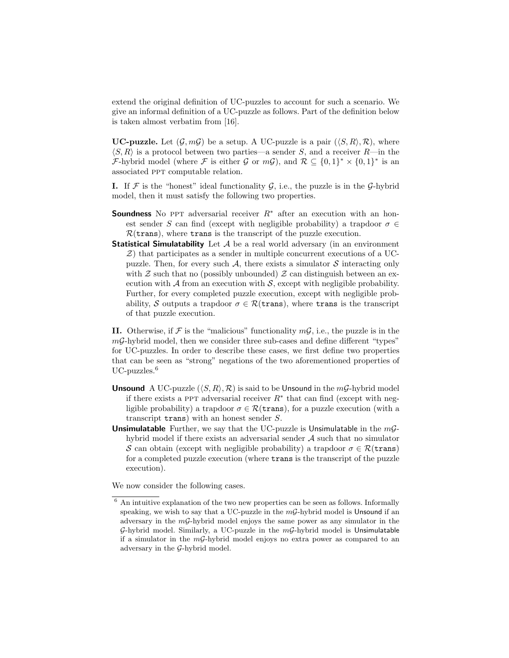extend the original definition of UC-puzzles to account for such a scenario. We give an informal definition of a UC-puzzle as follows. Part of the definition below is taken almost verbatim from [16].

**UC-puzzle.** Let  $(\mathcal{G}, m\mathcal{G})$  be a setup. A UC-puzzle is a pair  $(\langle S, R \rangle, \mathcal{R})$ , where  $\langle S, R \rangle$  is a protocol between two parties—a sender S, and a receiver R—in the F-hybrid model (where F is either G or  $m\mathcal{G}$ ), and  $\mathcal{R} \subseteq \{0,1\}^* \times \{0,1\}^*$  is an associated ppt computable relation.

I. If F is the "honest" ideal functionality  $\mathcal{G}$ , i.e., the puzzle is in the  $\mathcal{G}$ -hybrid model, then it must satisfy the following two properties.

- **Soundness** No PPT adversarial receiver  $R^*$  after an execution with an honest sender S can find (except with negligible probability) a trapdoor  $\sigma \in$  $\mathcal{R}$ (trans), where trans is the transcript of the puzzle execution.
- **Statistical Simulatability** Let  $A$  be a real world adversary (in an environment  $\mathcal{Z}$ ) that participates as a sender in multiple concurrent executions of a UCpuzzle. Then, for every such  $A$ , there exists a simulator  $S$  interacting only with  $\mathcal Z$  such that no (possibly unbounded)  $\mathcal Z$  can distinguish between an execution with  $A$  from an execution with  $S$ , except with negligible probability. Further, for every completed puzzle execution, except with negligible probability, S outputs a trapdoor  $\sigma \in \mathcal{R}$  (trans), where trans is the transcript of that puzzle execution.

II. Otherwise, if F is the "malicious" functionality  $m\mathcal{G}$ , i.e., the puzzle is in the  $m\mathcal{G}$ -hybrid model, then we consider three sub-cases and define different "types" for UC-puzzles. In order to describe these cases, we first define two properties that can be seen as "strong" negations of the two aforementioned properties of UC-puzzles.<sup>6</sup>

- **Unsound** A UC-puzzle  $(\langle S, R \rangle, \mathcal{R})$  is said to be Unsound in the mG-hybrid model if there exists a PPT adversarial receiver  $R^*$  that can find (except with negligible probability) a trapdoor  $\sigma \in \mathcal{R}$ (trans), for a puzzle execution (with a transcript trans) with an honest sender S.
- **Unsimulatable** Further, we say that the UC-puzzle is Unsimulatable in the  $m\mathcal{G}$ hybrid model if there exists an adversarial sender  $A$  such that no simulator S can obtain (except with negligible probability) a trapdoor  $\sigma \in \mathcal{R}$ (trans) for a completed puzzle execution (where trans is the transcript of the puzzle execution).

We now consider the following cases.

 $6$  An intuitive explanation of the two new properties can be seen as follows. Informally speaking, we wish to say that a UC-puzzle in the  $m\mathcal{G}$ -hybrid model is Unsound if an adversary in the  $m\mathcal{G}$ -hybrid model enjoys the same power as any simulator in the G-hybrid model. Similarly, a UC-puzzle in the  $mG$ -hybrid model is Unsimulatable if a simulator in the  $m\mathcal{G}$ -hybrid model enjoys no extra power as compared to an adversary in the G-hybrid model.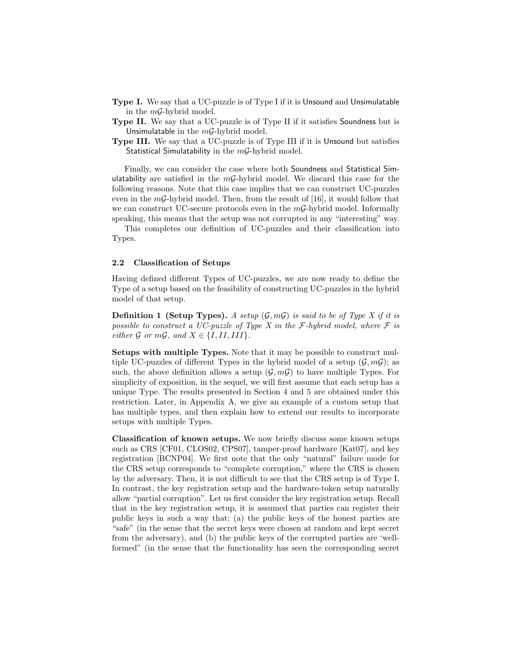- Type I. We say that a UC-puzzle is of Type I if it is Unsound and Unsimulatable in the  $mG$ -hybrid model.
- Type II. We say that a UC-puzzle is of Type II if it satisfies Soundness but is Unsimulatable in the  $mG$ -hybrid model.
- Type III. We say that a UC-puzzle is of Type III if it is Unsound but satisfies Statistical Simulatability in the  $mG$ -hybrid model.

Finally, we can consider the case where both Soundness and Statistical Simulatability are satisfied in the  $m\mathcal{G}$ -hybrid model. We discard this case for the following reasons. Note that this case implies that we can construct UC-puzzles even in the  $m\mathcal{G}$ -hybrid model. Then, from the result of [16], it would follow that we can construct UC-secure protocols even in the  $m\mathcal{G}$ -hybrid model. Informally speaking, this means that the setup was not corrupted in any "interesting" way.

This completes our definition of UC-puzzles and their classification into Types.

#### 2.2 Classification of Setups

Having defined different Types of UC-puzzles, we are now ready to define the Type of a setup based on the feasibility of constructing UC-puzzles in the hybrid model of that setup.

**Definition 1 (Setup Types).** A setup  $(\mathcal{G}, m\mathcal{G})$  is said to be of Type X if it is possible to construct a UC-puzzle of Type X in the  $\mathcal{F}\text{-}hybrid \ model, where \mathcal{F}$  is either G or mG, and  $X \in \{I, II, III\}$ .

Setups with multiple Types. Note that it may be possible to construct multiple UC-puzzles of different Types in the hybrid model of a setup  $(\mathcal{G}, m\mathcal{G})$ ; as such, the above definition allows a setup  $(\mathcal{G}, m\mathcal{G})$  to have multiple Types. For simplicity of exposition, in the sequel, we will first assume that each setup has a unique Type. The results presented in Section 4 and 5 are obtained under this restriction. Later, in Appendix A, we give an example of a custom setup that has multiple types, and then explain how to extend our results to incorporate setups with multiple Types.

Classification of known setups. We now briefly discuss some known setups such as CRS [CF01, CLOS02, CPS07], tamper-proof hardware [Kat07], and key registration [BCNP04]. We first note that the only "natural" failure mode for the CRS setup corresponds to "complete corruption," where the CRS is chosen by the adversary. Then, it is not difficult to see that the CRS setup is of Type I. In contrast, the key registration setup and the hardware-token setup naturally allow "partial corruption". Let us first consider the key registration setup. Recall that in the key registration setup, it is assumed that parties can register their public keys in such a way that: (a) the public keys of the honest parties are "safe" (in the sense that the secret keys were chosen at random and kept secret from the adversary), and (b) the public keys of the corrupted parties are 'wellformed" (in the sense that the functionality has seen the corresponding secret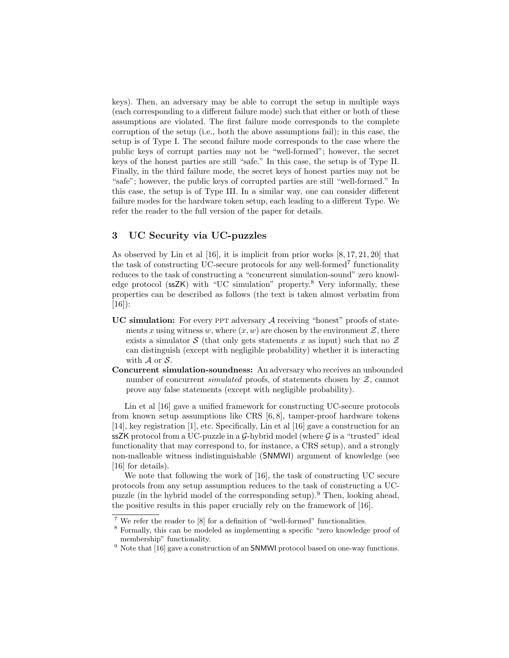keys). Then, an adversary may be able to corrupt the setup in multiple ways (each corresponding to a different failure mode) such that either or both of these assumptions are violated. The first failure mode corresponds to the complete corruption of the setup (i.e., both the above assumptions fail); in this case, the setup is of Type I. The second failure mode corresponds to the case where the public keys of corrupt parties may not be "well-formed"; however, the secret keys of the honest parties are still "safe." In this case, the setup is of Type II. Finally, in the third failure mode, the secret keys of honest parties may not be "safe"; however, the public keys of corrupted parties are still "well-formed." In this case, the setup is of Type III. In a similar way, one can consider different failure modes for the hardware token setup, each leading to a different Type. We refer the reader to the full version of the paper for details.

#### 3 UC Security via UC-puzzles

As observed by Lin et al  $[16]$ , it is implicit from prior works  $[8, 17, 21, 20]$  that the task of constructing UC-secure protocols for any well-formed<sup>7</sup> functionality reduces to the task of constructing a "concurrent simulation-sound" zero knowledge protocol ( $ssZK$ ) with "UC simulation" property.<sup>8</sup> Very informally, these properties can be described as follows (the text is taken almost verbatim from  $[16]$ :

- $UC$  simulation: For every PPT adversary  $A$  receiving "honest" proofs of statements x using witness w, where  $(x, w)$  are chosen by the environment  $\mathcal{Z}$ , there exists a simulator S (that only gets statements x as input) such that no  $Z$ can distinguish (except with negligible probability) whether it is interacting with  $\mathcal A$  or  $\mathcal S$ .
- Concurrent simulation-soundness: An adversary who receives an unbounded number of concurrent *simulated* proofs, of statements chosen by  $Z$ , cannot prove any false statements (except with negligible probability).

Lin et al [16] gave a unified framework for constructing UC-secure protocols from known setup assumptions like CRS [6, 8], tamper-proof hardware tokens [14], key registration [1], etc. Specifically, Lin et al [16] gave a construction for an ssZK protocol from a UC-puzzle in a  $\mathcal{G}$ -hybrid model (where  $\mathcal{G}$  is a "trusted" ideal functionality that may correspond to, for instance, a CRS setup), and a strongly non-malleable witness indistinguishable (SNMWI) argument of knowledge (see [16] for details).

We note that following the work of [16], the task of constructing UC secure protocols from any setup assumption reduces to the task of constructing a UCpuzzle (in the hybrid model of the corresponding setup).<sup>9</sup> Then, looking ahead, the positive results in this paper crucially rely on the framework of [16].

<sup>7</sup> We refer the reader to [8] for a definition of "well-formed" functionalities.

<sup>8</sup> Formally, this can be modeled as implementing a specific "zero knowledge proof of membership" functionality.

 $9$  Note that [16] gave a construction of an **SNMWI** protocol based on one-way functions.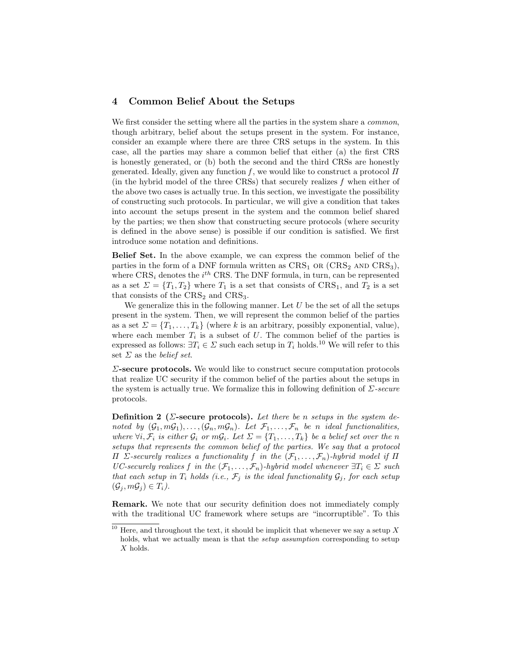### 4 Common Belief About the Setups

We first consider the setting where all the parties in the system share a *common*, though arbitrary, belief about the setups present in the system. For instance, consider an example where there are three CRS setups in the system. In this case, all the parties may share a common belief that either (a) the first CRS is honestly generated, or (b) both the second and the third CRSs are honestly generated. Ideally, given any function f, we would like to construct a protocol  $\Pi$ (in the hybrid model of the three CRSs) that securely realizes f when either of the above two cases is actually true. In this section, we investigate the possibility of constructing such protocols. In particular, we will give a condition that takes into account the setups present in the system and the common belief shared by the parties; we then show that constructing secure protocols (where security is defined in the above sense) is possible if our condition is satisfied. We first introduce some notation and definitions.

Belief Set. In the above example, we can express the common belief of the parties in the form of a DNF formula written as  $CRS_1$  OR  $(CRS_2$  AND  $CRS_3$ ), where  $CRS_i$  denotes the  $i^{th}$  CRS. The DNF formula, in turn, can be represented as a set  $\Sigma = \{T_1, T_2\}$  where  $T_1$  is a set that consists of CRS<sub>1</sub>, and  $T_2$  is a set that consists of the  $CRS_2$  and  $CRS_3$ .

We generalize this in the following manner. Let  $U$  be the set of all the setups present in the system. Then, we will represent the common belief of the parties as a set  $\Sigma = \{T_1, \ldots, T_k\}$  (where k is an arbitrary, possibly exponential, value), where each member  $T_i$  is a subset of U. The common belief of the parties is expressed as follows:  $\exists T_i \in \Sigma$  such each setup in  $T_i$  holds.<sup>10</sup> We will refer to this set  $\Sigma$  as the belief set.

Σ-secure protocols. We would like to construct secure computation protocols that realize UC security if the common belief of the parties about the setups in the system is actually true. We formalize this in following definition of  $\Sigma$ -secure protocols.

Definition 2 ( $\Sigma$ -secure protocols). Let there be n setups in the system denoted by  $(\mathcal{G}_1, m\mathcal{G}_1), \ldots, (\mathcal{G}_n, m\mathcal{G}_n)$ . Let  $\mathcal{F}_1, \ldots, \mathcal{F}_n$  be n ideal functionalities, where  $\forall i, \mathcal{F}_i$  is either  $\mathcal{G}_i$  or  $m\mathcal{G}_i$ . Let  $\Sigma = \{T_1, \ldots, T_k\}$  be a belief set over the n setups that represents the common belief of the parties. We say that a protocol  $\Pi$  Σ-securely realizes a functionality f in the  $(\mathcal{F}_1, \ldots, \mathcal{F}_n)$ -hybrid model if  $\Pi$ UC-securely realizes f in the  $(\mathcal{F}_1,\ldots,\mathcal{F}_n)$ -hybrid model whenever  $\exists T_i \in \Sigma$  such that each setup in  $T_i$  holds (i.e.,  $\mathcal{F}_j$  is the ideal functionality  $\mathcal{G}_j$ , for each setup  $(\mathcal{G}_j, m\mathcal{G}_j) \in T_i$ .

Remark. We note that our security definition does not immediately comply with the traditional UC framework where setups are "incorruptible". To this

<sup>&</sup>lt;sup>10</sup> Here, and throughout the text, it should be implicit that whenever we say a setup X holds, what we actually mean is that the *setup assumption* corresponding to setup X holds.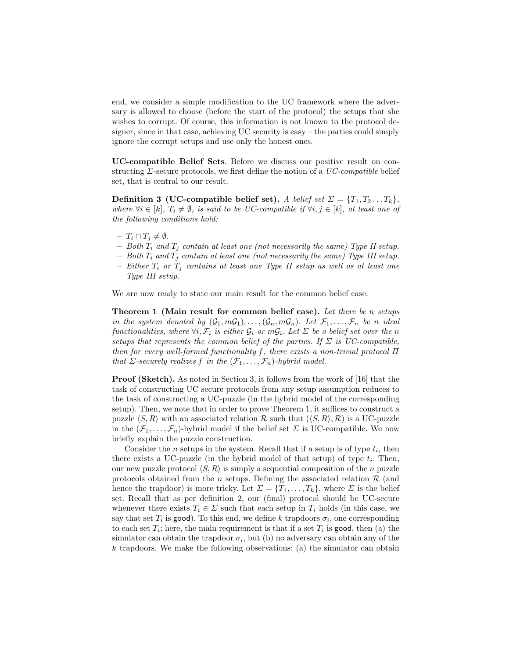end, we consider a simple modification to the UC framework where the adversary is allowed to choose (before the start of the protocol) the setups that she wishes to corrupt. Of course, this information is not known to the protocol designer, since in that case, achieving UC security is easy – the parties could simply ignore the corrupt setups and use only the honest ones.

UC-compatible Belief Sets. Before we discuss our positive result on constructing  $\Sigma$ -secure protocols, we first define the notion of a UC-compatible belief set, that is central to our result.

**Definition 3 (UC-compatible belief set).** A belief set  $\Sigma = \{T_1, T_2, \ldots, T_k\}$ , where  $\forall i \in [k], T_i \neq \emptyset$ , is said to be UC-compatible if  $\forall i, j \in [k]$ , at least one of the following conditions hold:

- $T_i \cap T_j \neq \emptyset$ .
- Both  $T_i$  and  $T_j$  contain at least one (not necessarily the same) Type II setup.
- Both  $T_i$  and  $T_j$  contain at least one (not necessarily the same) Type III setup.
- Either  $T_i$  or  $T_j$  contains at least one Type II setup as well as at least one Type III setup.

We are now ready to state our main result for the common belief case.

Theorem 1 (Main result for common belief case). Let there be n setups in the system denoted by  $(\mathcal{G}_1, m\mathcal{G}_1), \ldots, (\mathcal{G}_n, m\mathcal{G}_n)$ . Let  $\mathcal{F}_1, \ldots, \mathcal{F}_n$  be n ideal functionalities, where  $\forall i, \mathcal{F}_i$  is either  $\mathcal{G}_i$  or  $m\mathcal{G}_i$ . Let  $\Sigma$  be a belief set over the n setups that represents the common belief of the parties. If  $\Sigma$  is UC-compatible, then for every well-formed functionality f, there exists a non-trivial protocol  $\Pi$ that *Σ*-securely realizes f in the  $(\mathcal{F}_1, \ldots, \mathcal{F}_n)$ -hybrid model.

Proof (Sketch). As noted in Section 3, it follows from the work of [16] that the task of constructing UC secure protocols from any setup assumption reduces to the task of constructing a UC-puzzle (in the hybrid model of the corresponding setup). Then, we note that in order to prove Theorem 1, it suffices to construct a puzzle  $\langle S, R \rangle$  with an associated relation R such that  $(\langle S, R \rangle, R)$  is a UC-puzzle in the  $(\mathcal{F}_1,\ldots,\mathcal{F}_n)$ -hybrid model if the belief set  $\Sigma$  is UC-compatible. We now briefly explain the puzzle construction.

Consider the *n* setups in the system. Recall that if a setup is of type  $t_i$ , then there exists a UC-puzzle (in the hybrid model of that setup) of type  $t_i$ . Then, our new puzzle protocol  $\langle S, R \rangle$  is simply a sequential composition of the n puzzle protocols obtained from the *n* setups. Defining the associated relation  $\mathcal{R}$  (and hence the trapdoor) is more tricky. Let  $\Sigma = \{T_1, \ldots, T_k\}$ , where  $\Sigma$  is the belief set. Recall that as per definition 2, our (final) protocol should be UC-secure whenever there exists  $T_i \in \Sigma$  such that each setup in  $T_i$  holds (in this case, we say that set  $T_i$  is good). To this end, we define k trapdoors  $\sigma_i$ , one corresponding to each set  $T_i$ ; here, the main requirement is that if a set  $T_i$  is **good**, then (a) the simulator can obtain the trapdoor  $\sigma_i$ , but (b) no adversary can obtain any of the  $k$  trapdoors. We make the following observations: (a) the simulator can obtain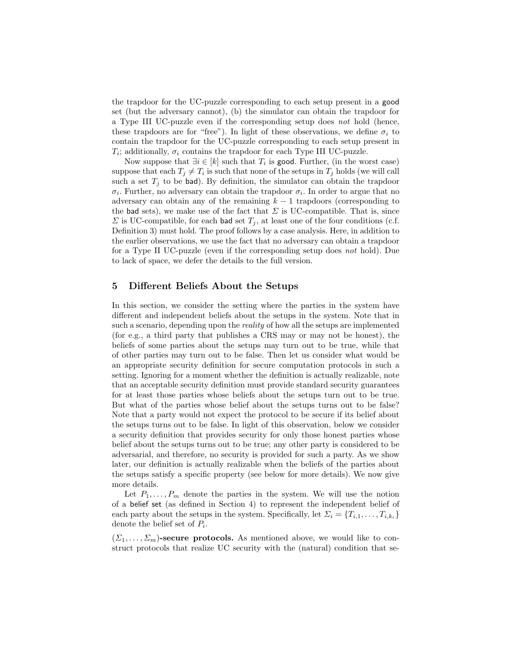the trapdoor for the UC-puzzle corresponding to each setup present in a good set (but the adversary cannot), (b) the simulator can obtain the trapdoor for a Type III UC-puzzle even if the corresponding setup does not hold (hence, these trapdoors are for "free"). In light of these observations, we define  $\sigma_i$  to contain the trapdoor for the UC-puzzle corresponding to each setup present in  $T_i$ ; additionally,  $\sigma_i$  contains the trapdoor for each Type III UC-puzzle.

Now suppose that  $\exists i \in [k]$  such that  $T_i$  is good. Further, (in the worst case) suppose that each  $T_j \neq T_i$  is such that none of the setups in  $T_j$  holds (we will call such a set  $T_j$  to be bad). By definition, the simulator can obtain the trapdoor  $\sigma_i$ . Further, no adversary can obtain the trapdoor  $\sigma_i$ . In order to argue that no adversary can obtain any of the remaining  $k-1$  trapdoors (corresponding to the bad sets), we make use of the fact that  $\Sigma$  is UC-compatible. That is, since  $\Sigma$  is UC-compatible, for each bad set  $T_i$ , at least one of the four conditions (c.f. Definition 3) must hold. The proof follows by a case analysis. Here, in addition to the earlier observations, we use the fact that no adversary can obtain a trapdoor for a Type II UC-puzzle (even if the corresponding setup does not hold). Due to lack of space, we defer the details to the full version.

### 5 Different Beliefs About the Setups

In this section, we consider the setting where the parties in the system have different and independent beliefs about the setups in the system. Note that in such a scenario, depending upon the reality of how all the setups are implemented (for e.g., a third party that publishes a CRS may or may not be honest), the beliefs of some parties about the setups may turn out to be true, while that of other parties may turn out to be false. Then let us consider what would be an appropriate security definition for secure computation protocols in such a setting. Ignoring for a moment whether the definition is actually realizable, note that an acceptable security definition must provide standard security guarantees for at least those parties whose beliefs about the setups turn out to be true. But what of the parties whose belief about the setups turns out to be false? Note that a party would not expect the protocol to be secure if its belief about the setups turns out to be false. In light of this observation, below we consider a security definition that provides security for only those honest parties whose belief about the setups turns out to be true; any other party is considered to be adversarial, and therefore, no security is provided for such a party. As we show later, our definition is actually realizable when the beliefs of the parties about the setups satisfy a specific property (see below for more details). We now give more details.

Let  $P_1, \ldots, P_m$  denote the parties in the system. We will use the notion of a belief set (as defined in Section 4) to represent the independent belief of each party about the setups in the system. Specifically, let  $\Sigma_i = \{T_{i,1}, \ldots, T_{i,k_i}\}\$ denote the belief set of  $P_i$ .

 $(\Sigma_1, \ldots, \Sigma_m)$ -secure protocols. As mentioned above, we would like to construct protocols that realize UC security with the (natural) condition that se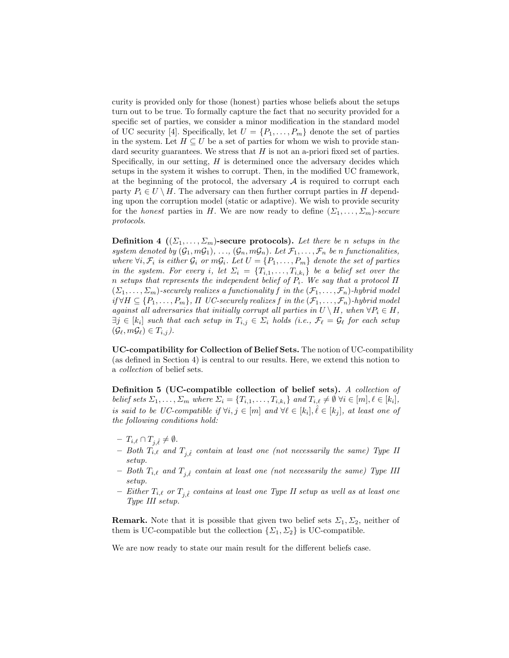curity is provided only for those (honest) parties whose beliefs about the setups turn out to be true. To formally capture the fact that no security provided for a specific set of parties, we consider a minor modification in the standard model of UC security [4]. Specifically, let  $U = \{P_1, \ldots, P_m\}$  denote the set of parties in the system. Let  $H \subseteq U$  be a set of parties for whom we wish to provide standard security guarantees. We stress that  $H$  is not an a-priori fixed set of parties. Specifically, in our setting,  $H$  is determined once the adversary decides which setups in the system it wishes to corrupt. Then, in the modified UC framework, at the beginning of the protocol, the adversary  $A$  is required to corrupt each party  $P_i \in U \setminus H$ . The adversary can then further corrupt parties in H depending upon the corruption model (static or adaptive). We wish to provide security for the honest parties in H. We are now ready to define  $(\Sigma_1, \ldots, \Sigma_m)$ -secure protocols.

**Definition 4** ( $(\Sigma_1, \ldots, \Sigma_m)$ -secure protocols). Let there be n setups in the system denoted by  $(\mathcal{G}_1, m\mathcal{G}_1), \ldots, (\mathcal{G}_n, m\mathcal{G}_n)$ . Let  $\mathcal{F}_1, \ldots, \mathcal{F}_n$  be n functionalities, where  $\forall i, \mathcal{F}_i$  is either  $\mathcal{G}_i$  or  $m\mathcal{G}_i$ . Let  $U = \{P_1, \ldots, P_m\}$  denote the set of parties in the system. For every i, let  $\Sigma_i = \{T_{i,1}, \ldots, T_{i,k_i}\}\;$  be a belief set over the n setups that represents the independent belief of  $P_i$ . We say that a protocol  $\Pi$  $(\Sigma_1,\ldots,\Sigma_m)$ -securely realizes a functionality f in the  $(\mathcal{F}_1,\ldots,\mathcal{F}_n)$ -hybrid model  $if \forall H \subseteq \{P_1, \ldots, P_m\}, \Pi$  UC-securely realizes f in the  $(\mathcal{F}_1, \ldots, \mathcal{F}_n)$ -hybrid model against all adversaries that initially corrupt all parties in  $U \setminus H$ , when  $\forall P_i \in H$ ,  $\exists j \in [k_i]$  such that each setup in  $T_{i,j} \in \Sigma_i$  holds (i.e.,  $\mathcal{F}_\ell = \mathcal{G}_\ell$  for each setup  $(\mathcal{G}_{\ell}, m\mathcal{G}_{\ell}) \in T_{i,j}$ ).

UC-compatibility for Collection of Belief Sets. The notion of UC-compatibility (as defined in Section 4) is central to our results. Here, we extend this notion to a collection of belief sets.

Definition 5 (UC-compatible collection of belief sets). A collection of belief sets  $\Sigma_1, \ldots, \Sigma_m$  where  $\Sigma_i = \{T_{i,1}, \ldots, T_{i,k_i}\}$  and  $T_{i,\ell} \neq \emptyset \ \forall i \in [m], \ell \in [k_i],$ is said to be UC-compatible if  $\forall i, j \in [m]$  and  $\forall \ell \in [k_i], \hat{\ell} \in [k_j]$ , at least one of the following conditions hold:

- $T_{i,\ell} \cap T_{i,\hat{\ell}} \neq \emptyset.$
- Both  $T_{i,\ell}$  and  $T_{j,\ell}$  contain at least one (not necessarily the same) Type II setup.
- Both  $T_{i,\ell}$  and  $T_{i,\ell}$  contain at least one (not necessarily the same) Type III setup.
- Either  $T_{i,\ell}$  or  $T_{j,\hat{\ell}}$  contains at least one Type II setup as well as at least one Type III setup.

**Remark.** Note that it is possible that given two belief sets  $\Sigma_1, \Sigma_2$ , neither of them is UC-compatible but the collection  $\{\Sigma_1, \Sigma_2\}$  is UC-compatible.

We are now ready to state our main result for the different beliefs case.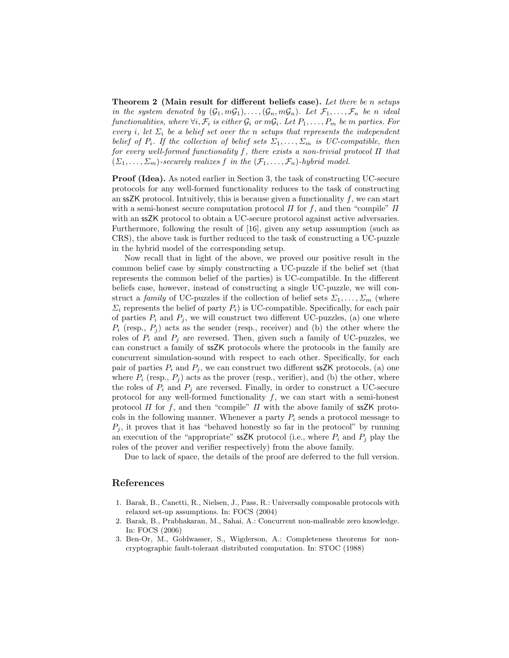**Theorem 2** (Main result for different beliefs case). Let there be n setups in the system denoted by  $(\mathcal{G}_1, m\mathcal{G}_1), \ldots, (\mathcal{G}_n, m\mathcal{G}_n)$ . Let  $\mathcal{F}_1, \ldots, \mathcal{F}_n$  be n ideal functionalities, where  $\forall i, \mathcal{F}_i$  is either  $\mathcal{G}_i$  or  $m\mathcal{G}_i$ . Let  $P_1, \ldots, P_m$  be m parties. For every i, let  $\Sigma_i$  be a belief set over the n setups that represents the independent belief of  $P_i$ . If the collection of belief sets  $\Sigma_1, \ldots, \Sigma_m$  is UC-compatible, then for every well-formed functionality f, there exists a non-trivial protocol  $\Pi$  that  $(\Sigma_1, \ldots, \Sigma_m)$ -securely realizes f in the  $(\mathcal{F}_1, \ldots, \mathcal{F}_n)$ -hybrid model.

Proof (Idea). As noted earlier in Section 3, the task of constructing UC-secure protocols for any well-formed functionality reduces to the task of constructing an ssZK protocol. Intuitively, this is because given a functionality  $f$ , we can start with a semi-honest secure computation protocol  $\Pi$  for f, and then "compile"  $\Pi$ with an ssZK protocol to obtain a UC-secure protocol against active adversaries. Furthermore, following the result of [16], given any setup assumption (such as CRS), the above task is further reduced to the task of constructing a UC-puzzle in the hybrid model of the corresponding setup.

Now recall that in light of the above, we proved our positive result in the common belief case by simply constructing a UC-puzzle if the belief set (that represents the common belief of the parties) is UC-compatible. In the different beliefs case, however, instead of constructing a single UC-puzzle, we will construct a family of UC-puzzles if the collection of belief sets  $\Sigma_1, \ldots, \Sigma_m$  (where  $\Sigma_i$  represents the belief of party  $P_i$ ) is UC-compatible. Specifically, for each pair of parties  $P_i$  and  $P_j$ , we will construct two different UC-puzzles, (a) one where  $P_i$  (resp.,  $P_j$ ) acts as the sender (resp., receiver) and (b) the other where the roles of  $P_i$  and  $P_j$  are reversed. Then, given such a family of UC-puzzles, we can construct a family of ssZK protocols where the protocols in the family are concurrent simulation-sound with respect to each other. Specifically, for each pair of parties  $P_i$  and  $P_j$ , we can construct two different ssZK protocols, (a) one where  $P_i$  (resp.,  $P_j$ ) acts as the prover (resp., verifier), and (b) the other, where the roles of  $P_i$  and  $P_j$  are reversed. Finally, in order to construct a UC-secure protocol for any well-formed functionality  $f$ , we can start with a semi-honest protocol  $\Pi$  for f, and then "compile"  $\Pi$  with the above family of ssZK protocols in the following manner. Whenever a party  $P_i$  sends a protocol message to  $P_i$ , it proves that it has "behaved honestly so far in the protocol" by running an execution of the "appropriate"  $sZK$  protocol (i.e., where  $P_i$  and  $P_j$  play the roles of the prover and verifier respectively) from the above family.

Due to lack of space, the details of the proof are deferred to the full version.

#### References

- 1. Barak, B., Canetti, R., Nielsen, J., Pass, R.: Universally composable protocols with relaxed set-up assumptions. In: FOCS (2004)
- 2. Barak, B., Prabhakaran, M., Sahai, A.: Concurrent non-malleable zero knowledge. In: FOCS (2006)
- 3. Ben-Or, M., Goldwasser, S., Wigderson, A.: Completeness theorems for noncryptographic fault-tolerant distributed computation. In: STOC (1988)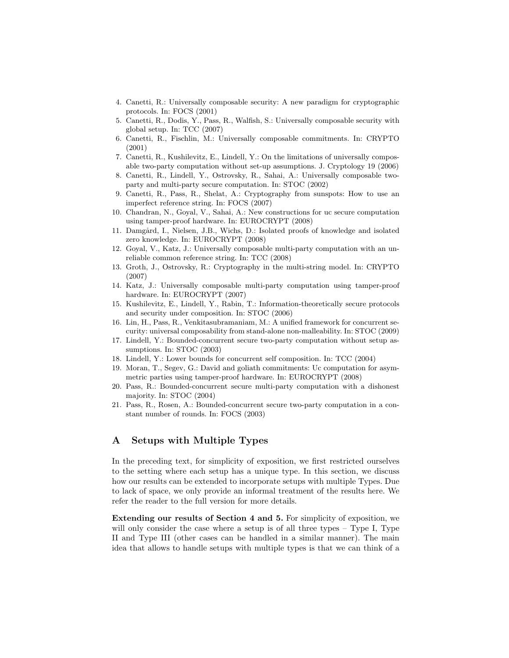- 4. Canetti, R.: Universally composable security: A new paradigm for cryptographic protocols. In: FOCS (2001)
- 5. Canetti, R., Dodis, Y., Pass, R., Walfish, S.: Universally composable security with global setup. In: TCC (2007)
- 6. Canetti, R., Fischlin, M.: Universally composable commitments. In: CRYPTO (2001)
- 7. Canetti, R., Kushilevitz, E., Lindell, Y.: On the limitations of universally composable two-party computation without set-up assumptions. J. Cryptology 19 (2006)
- 8. Canetti, R., Lindell, Y., Ostrovsky, R., Sahai, A.: Universally composable twoparty and multi-party secure computation. In: STOC (2002)
- 9. Canetti, R., Pass, R., Shelat, A.: Cryptography from sunspots: How to use an imperfect reference string. In: FOCS (2007)
- 10. Chandran, N., Goyal, V., Sahai, A.: New constructions for uc secure computation using tamper-proof hardware. In: EUROCRYPT (2008)
- 11. Damgård, I., Nielsen, J.B., Wichs, D.: Isolated proofs of knowledge and isolated zero knowledge. In: EUROCRYPT (2008)
- 12. Goyal, V., Katz, J.: Universally composable multi-party computation with an unreliable common reference string. In: TCC (2008)
- 13. Groth, J., Ostrovsky, R.: Cryptography in the multi-string model. In: CRYPTO (2007)
- 14. Katz, J.: Universally composable multi-party computation using tamper-proof hardware. In: EUROCRYPT (2007)
- 15. Kushilevitz, E., Lindell, Y., Rabin, T.: Information-theoretically secure protocols and security under composition. In: STOC (2006)
- 16. Lin, H., Pass, R., Venkitasubramaniam, M.: A unified framework for concurrent security: universal composability from stand-alone non-malleability. In: STOC (2009)
- 17. Lindell, Y.: Bounded-concurrent secure two-party computation without setup assumptions. In: STOC (2003)
- 18. Lindell, Y.: Lower bounds for concurrent self composition. In: TCC (2004)
- 19. Moran, T., Segev, G.: David and goliath commitments: Uc computation for asymmetric parties using tamper-proof hardware. In: EUROCRYPT (2008)
- 20. Pass, R.: Bounded-concurrent secure multi-party computation with a dishonest majority. In: STOC (2004)
- 21. Pass, R., Rosen, A.: Bounded-concurrent secure two-party computation in a constant number of rounds. In: FOCS (2003)

# A Setups with Multiple Types

In the preceding text, for simplicity of exposition, we first restricted ourselves to the setting where each setup has a unique type. In this section, we discuss how our results can be extended to incorporate setups with multiple Types. Due to lack of space, we only provide an informal treatment of the results here. We refer the reader to the full version for more details.

Extending our results of Section 4 and 5. For simplicity of exposition, we will only consider the case where a setup is of all three types – Type I, Type II and Type III (other cases can be handled in a similar manner). The main idea that allows to handle setups with multiple types is that we can think of a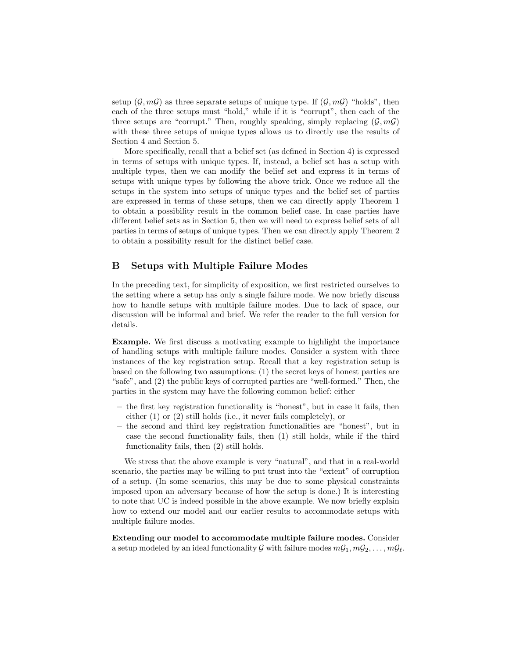setup  $(\mathcal{G}, m\mathcal{G})$  as three separate setups of unique type. If  $(\mathcal{G}, m\mathcal{G})$  "holds", then each of the three setups must "hold," while if it is "corrupt", then each of the three setups are "corrupt." Then, roughly speaking, simply replacing  $(\mathcal{G}, m\mathcal{G})$ with these three setups of unique types allows us to directly use the results of Section 4 and Section 5.

More specifically, recall that a belief set (as defined in Section 4) is expressed in terms of setups with unique types. If, instead, a belief set has a setup with multiple types, then we can modify the belief set and express it in terms of setups with unique types by following the above trick. Once we reduce all the setups in the system into setups of unique types and the belief set of parties are expressed in terms of these setups, then we can directly apply Theorem 1 to obtain a possibility result in the common belief case. In case parties have different belief sets as in Section 5, then we will need to express belief sets of all parties in terms of setups of unique types. Then we can directly apply Theorem 2 to obtain a possibility result for the distinct belief case.

#### B Setups with Multiple Failure Modes

In the preceding text, for simplicity of exposition, we first restricted ourselves to the setting where a setup has only a single failure mode. We now briefly discuss how to handle setups with multiple failure modes. Due to lack of space, our discussion will be informal and brief. We refer the reader to the full version for details.

Example. We first discuss a motivating example to highlight the importance of handling setups with multiple failure modes. Consider a system with three instances of the key registration setup. Recall that a key registration setup is based on the following two assumptions: (1) the secret keys of honest parties are "safe", and (2) the public keys of corrupted parties are "well-formed." Then, the parties in the system may have the following common belief: either

- the first key registration functionality is "honest", but in case it fails, then either (1) or (2) still holds (i.e., it never fails completely), or
- the second and third key registration functionalities are "honest", but in case the second functionality fails, then (1) still holds, while if the third functionality fails, then (2) still holds.

We stress that the above example is very "natural", and that in a real-world scenario, the parties may be willing to put trust into the "extent" of corruption of a setup. (In some scenarios, this may be due to some physical constraints imposed upon an adversary because of how the setup is done.) It is interesting to note that UC is indeed possible in the above example. We now briefly explain how to extend our model and our earlier results to accommodate setups with multiple failure modes.

Extending our model to accommodate multiple failure modes. Consider a setup modeled by an ideal functionality G with failure modes  $m\mathcal{G}_1, m\mathcal{G}_2, \ldots, m\mathcal{G}_\ell$ .